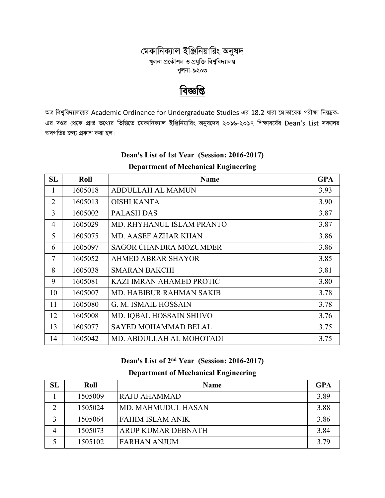### মেকানিক্যাল ইঞ্জিনিয়ারিং অনুষদ খুলনা প্রকৌশল ও প্রযুক্তি বিশ্ববিদ্যালয় খুলনা-৯২০৩

# বিজ্ঞপ্তি

অত্র বিশ্ববিদ্যালয়ের Academic Ordinance for Undergraduate Studies এর 18.2 ধারা মোতাবেক পরীক্ষা নিয়ন্ত্রক-এর দপ্তর থেকে প্রাপ্ত তথ্যের ভিত্তিতে মেকানিক্যাল ইঞ্জিনিয়ারিং অনুষদের ২০১৬-২০১৭ শিক্ষাবর্ষের Dean's List সকলের অবগতির জন্য প্রকাশ করা হল।

| <b>SL</b>      | Roll    | <b>Name</b>                     | <b>GPA</b> |
|----------------|---------|---------------------------------|------------|
| 1              | 1605018 | <b>ABDULLAH AL MAMUN</b>        | 3.93       |
| $\overline{2}$ | 1605013 | <b>OISHI KANTA</b>              | 3.90       |
| 3              | 1605002 | <b>PALASH DAS</b>               | 3.87       |
| $\overline{4}$ | 1605029 | MD. RHYHANUL ISLAM PRANTO       | 3.87       |
| 5              | 1605075 | <b>MD. AASEF AZHAR KHAN</b>     | 3.86       |
| 6              | 1605097 | <b>SAGOR CHANDRA MOZUMDER</b>   | 3.86       |
| $\overline{7}$ | 1605052 | <b>AHMED ABRAR SHAYOR</b>       | 3.85       |
| 8              | 1605038 | <b>SMARAN BAKCHI</b>            | 3.81       |
| 9              | 1605081 | KAZI IMRAN AHAMED PROTIC        | 3.80       |
| 10             | 1605007 | <b>MD. HABIBUR RAHMAN SAKIB</b> | 3.78       |
| 11             | 1605080 | G. M. ISMAIL HOSSAIN            | 3.78       |
| 12             | 1605008 | MD. IQBAL HOSSAIN SHUVO         | 3.76       |
| 13             | 1605077 | <b>SAYED MOHAMMAD BELAL</b>     | 3.75       |
| 14             | 1605042 | MD. ABDULLAH AL MOHOTADI        | 3.75       |

### Dean's List of 1st Year (Session: 2016-2017) **Department of Mechanical Engineering**

### Dean's List of 2<sup>nd</sup> Year (Session: 2016-2017)

| SL | Roll    | <b>Name</b>               | <b>GPA</b> |
|----|---------|---------------------------|------------|
|    | 1505009 | RAJU AHAMMAD              | 3.89       |
|    | 1505024 | <b>MD. MAHMUDUL HASAN</b> | 3.88       |
| 3  | 1505064 | <b>FAHIM ISLAM ANIK</b>   | 3.86       |
| 4  | 1505073 | ARUP KUMAR DEBNATH        | 3.84       |
|    | 1505102 | <b>FARHAN ANJUM</b>       | 3.79       |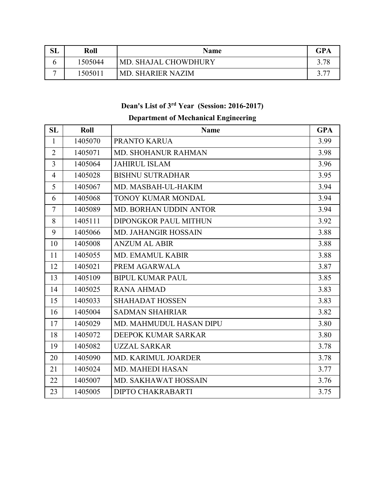| $\mathbf{SL}$ | Roll    | <b>Name</b>          | <b>GPA</b> |
|---------------|---------|----------------------|------------|
|               | 1505044 | MD. SHAJAL CHOWDHURY |            |
| -             | 1505011 | 'MD. SHARIER NAZIM   |            |

# **Dean's List of 3rd Year (Session: 2016-2017)**

| SL             | Roll    | <b>Name</b>                    | <b>GPA</b> |
|----------------|---------|--------------------------------|------------|
| $\mathbf{1}$   | 1405070 | PRANTO KARUA                   | 3.99       |
| $\overline{2}$ | 1405071 | <b>MD. SHOHANUR RAHMAN</b>     | 3.98       |
| 3              | 1405064 | <b>JAHIRUL ISLAM</b>           | 3.96       |
| $\overline{4}$ | 1405028 | <b>BISHNU SUTRADHAR</b>        | 3.95       |
| 5              | 1405067 | MD. MASBAH-UL-HAKIM            | 3.94       |
| 6              | 1405068 | <b>TONOY KUMAR MONDAL</b>      | 3.94       |
| 7              | 1405089 | <b>MD. BORHAN UDDIN ANTOR</b>  | 3.94       |
| 8              | 1405111 | DIPONGKOR PAUL MITHUN          | 3.92       |
| 9              | 1405066 | <b>MD. JAHANGIR HOSSAIN</b>    | 3.88       |
| 10             | 1405008 | <b>ANZUM AL ABIR</b>           | 3.88       |
| 11             | 1405055 | <b>MD. EMAMUL KABIR</b>        | 3.88       |
| 12             | 1405021 | PREM AGARWALA                  | 3.87       |
| 13             | 1405109 | <b>BIPUL KUMAR PAUL</b>        | 3.85       |
| 14             | 1405025 | <b>RANA AHMAD</b>              | 3.83       |
| 15             | 1405033 | <b>SHAHADAT HOSSEN</b>         | 3.83       |
| 16             | 1405004 | <b>SADMAN SHAHRIAR</b>         | 3.82       |
| 17             | 1405029 | <b>MD. MAHMUDUL HASAN DIPU</b> | 3.80       |
| 18             | 1405072 | DEEPOK KUMAR SARKAR            | 3.80       |
| 19             | 1405082 | <b>UZZAL SARKAR</b>            | 3.78       |
| 20             | 1405090 | <b>MD. KARIMUL JOARDER</b>     | 3.78       |
| 21             | 1405024 | <b>MD. MAHEDI HASAN</b>        | 3.77       |
| 22             | 1405007 | MD. SAKHAWAT HOSSAIN           | 3.76       |
| 23             | 1405005 | <b>DIPTO CHAKRABARTI</b>       | 3.75       |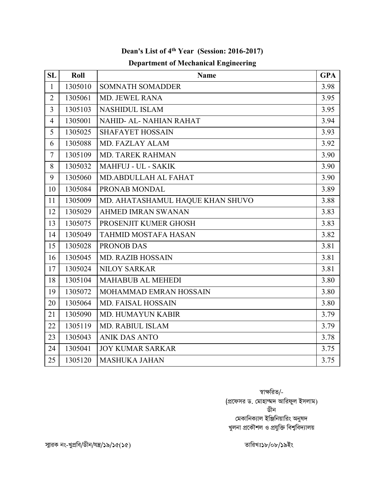| <b>SL</b>      | Roll    | <b>Name</b>                      | <b>GPA</b> |
|----------------|---------|----------------------------------|------------|
| $\mathbf{1}$   | 1305010 | <b>SOMNATH SOMADDER</b>          | 3.98       |
| $\overline{2}$ | 1305061 | MD. JEWEL RANA                   | 3.95       |
| $\overline{3}$ | 1305103 | <b>NASHIDUL ISLAM</b>            | 3.95       |
| $\overline{4}$ | 1305001 | NAHID- AL- NAHIAN RAHAT          | 3.94       |
| 5              | 1305025 | <b>SHAFAYET HOSSAIN</b>          | 3.93       |
| 6              | 1305088 | MD. FAZLAY ALAM                  | 3.92       |
| 7              | 1305109 | MD. TAREK RAHMAN                 | 3.90       |
| 8              | 1305032 | <b>MAHFUJ - UL - SAKIK</b>       | 3.90       |
| 9              | 1305060 | MD.ABDULLAH AL FAHAT             | 3.90       |
| 10             | 1305084 | PRONAB MONDAL                    | 3.89       |
| 11             | 1305009 | MD. AHATASHAMUL HAQUE KHAN SHUVO | 3.88       |
| 12             | 1305029 | <b>AHMED IMRAN SWANAN</b>        | 3.83       |
| 13             | 1305075 | PROSENJIT KUMER GHOSH            | 3.83       |
| 14             | 1305049 | <b>TAHMID MOSTAFA HASAN</b>      | 3.82       |
| 15             | 1305028 | PRONOB DAS                       | 3.81       |
| 16             | 1305045 | <b>MD. RAZIB HOSSAIN</b>         | 3.81       |
| 17             | 1305024 | <b>NILOY SARKAR</b>              | 3.81       |
| 18             | 1305104 | <b>MAHABUB AL MEHEDI</b>         | 3.80       |
| 19             | 1305072 | MOHAMMAD EMRAN HOSSAIN           | 3.80       |
| 20             | 1305064 | <b>MD. FAISAL HOSSAIN</b>        | 3.80       |
| 21             | 1305090 | <b>MD. HUMAYUN KABIR</b>         | 3.79       |
| 22             | 1305119 | <b>MD. RABIUL ISLAM</b>          | 3.79       |
| 23             | 1305043 | <b>ANIK DAS ANTO</b>             | 3.78       |
| 24             | 1305041 | <b>JOY KUMAR SARKAR</b>          | 3.75       |
| 25             | 1305120 | <b>MASHUKA JAHAN</b>             | 3.75       |

## **Dean's List of 4th Year (Session: 2016-2017) Department of Mechanical Engineering**

স্বাক্ষরিত/-(প্রফেসর ড. মোহাম্মদ আরিফুল ইসলাম) ডীন মেকানিক্যাল ইঞ্জিনিয়ারিং অনুষদ খুলনা প্রকৌশল ও প্রযুক্তি বিশ্ববিদ্যালয়

স্মারক নং-খুপ্রবি/ডীন/যন্ত্র/১৯/১৫(১৫)  $\blacksquare$   $\blacksquare$   $\blacksquare$   $\blacksquare$   $\blacksquare$   $\blacksquare$   $\blacksquare$   $\blacksquare$   $\blacksquare$   $\blacksquare$   $\blacksquare$   $\blacksquare$   $\blacksquare$   $\blacksquare$   $\blacksquare$   $\blacksquare$   $\blacksquare$   $\blacksquare$   $\blacksquare$   $\blacksquare$   $\blacksquare$   $\blacksquare$   $\blacksquare$   $\blacksquare$   $\blacksquare$   $\blacksquare$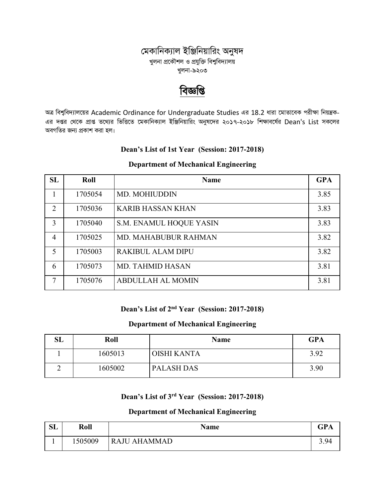### মেকানিক্যাল ইঞ্জিনিয়ারিং অনুষদ খুলনা প্রকৌশল ও প্রযুক্তি বিশুবিদ্যালয় খুলনা-৯২০৩

# বিজ্ঞাপ্ত

অত্র বিশ্ববিদ্যালয়ের Academic Ordinance for Undergraduate Studies এর 18.2 ধারা মোতাবেক পরীক্ষা নিয়ন্ত্রক-এর দপ্তর থেকে প্রাপ্ত তথ্যের ভিত্তিতে মেকানিক্যাল ইঞ্জিনিয়ারিং অনুষদের ২০১৭-২০১৮ শিক্ষাবর্ষের Dean's List সকলের অবগতির জন্য প্রকাশ করা হল।

#### Dean's List of 1st Year (Session: 2017-2018)

#### **Department of Mechanical Engineering**

| <b>SL</b>      | Roll    | <b>Name</b>                 | <b>GPA</b> |
|----------------|---------|-----------------------------|------------|
| 1              | 1705054 | <b>MD. MOHIUDDIN</b>        | 3.85       |
| 2              | 1705036 | <b>KARIB HASSAN KHAN</b>    | 3.83       |
| 3              | 1705040 | S.M. ENAMUL HOQUE YASIN     | 3.83       |
| $\overline{4}$ | 1705025 | <b>MD. MAHABUBUR RAHMAN</b> | 3.82       |
| 5              | 1705003 | <b>RAKIBUL ALAM DIPU</b>    | 3.82       |
| 6              | 1705073 | <b>MD. TAHMID HASAN</b>     | 3.81       |
| 7              | 1705076 | <b>ABDULLAH AL MOMIN</b>    | 3.81       |

## Dean's List of 2<sup>nd</sup> Year (Session: 2017-2018)

#### **Department of Mechanical Engineering**

| $\mathbf{SL}% _{0}\left( t\right) \equiv\mathbf{SL}_{0}\left( t\right)$ | Roll    | <b>Name</b>       | <b>GPA</b> |
|-------------------------------------------------------------------------|---------|-------------------|------------|
|                                                                         | 1605013 | OISHI KANTA       | 3.92       |
|                                                                         | 1605002 | <b>PALASH DAS</b> | 3.90       |

# Dean's List of 3<sup>rd</sup> Year (Session: 2017-2018)

| <b>SL</b> | Roll    | <b>Name</b>         | CD <sub>A</sub><br>GľA |
|-----------|---------|---------------------|------------------------|
|           | 1505009 | <b>RAJU AHAMMAD</b> | 3.94                   |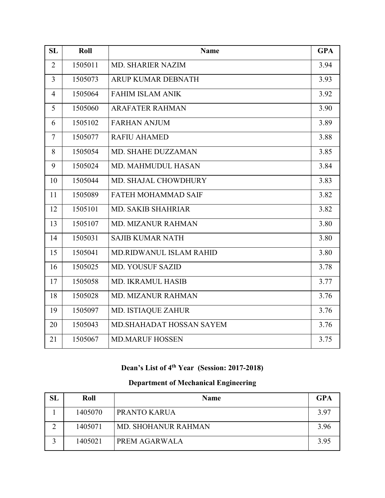| <b>SL</b>      | Roll    | <b>Name</b>                    | <b>GPA</b> |
|----------------|---------|--------------------------------|------------|
| $\overline{2}$ | 1505011 | <b>MD. SHARIER NAZIM</b>       | 3.94       |
| 3              | 1505073 | ARUP KUMAR DEBNATH             | 3.93       |
| $\overline{4}$ | 1505064 | <b>FAHIM ISLAM ANIK</b>        | 3.92       |
| 5              | 1505060 | <b>ARAFATER RAHMAN</b>         | 3.90       |
| 6              | 1505102 | <b>FARHAN ANJUM</b>            | 3.89       |
| $\tau$         | 1505077 | <b>RAFIU AHAMED</b>            | 3.88       |
| 8              | 1505054 | MD. SHAHE DUZZAMAN             | 3.85       |
| 9              | 1505024 | <b>MD. MAHMUDUL HASAN</b>      | 3.84       |
| 10             | 1505044 | <b>MD. SHAJAL CHOWDHURY</b>    | 3.83       |
| 11             | 1505089 | <b>FATEH MOHAMMAD SAIF</b>     | 3.82       |
| 12             | 1505101 | <b>MD. SAKIB SHAHRIAR</b>      | 3.82       |
| 13             | 1505107 | <b>MD. MIZANUR RAHMAN</b>      | 3.80       |
| 14             | 1505031 | <b>SAJIB KUMAR NATH</b>        | 3.80       |
| 15             | 1505041 | <b>MD.RIDWANUL ISLAM RAHID</b> | 3.80       |
| 16             | 1505025 | <b>MD. YOUSUF SAZID</b>        | 3.78       |
| 17             | 1505058 | <b>MD. IKRAMUL HASIB</b>       | 3.77       |
| 18             | 1505028 | <b>MD. MIZANUR RAHMAN</b>      | 3.76       |
| 19             | 1505097 | MD. ISTIAQUE ZAHUR             | 3.76       |
| 20             | 1505043 | MD. SHAHADAT HOSSAN SAYEM      | 3.76       |
| 21             | 1505067 | <b>MD.MARUF HOSSEN</b>         | 3.75       |

# **Dean's List of 4th Year (Session: 2017-2018)**

| SL | Roll    | <b>Name</b>         | <b>GPA</b> |
|----|---------|---------------------|------------|
|    | 1405070 | PRANTO KARUA        | 3.97       |
| ◠  | 1405071 | MD. SHOHANUR RAHMAN | 3.96       |
|    | 1405021 | PREM AGARWALA       | 3.95       |